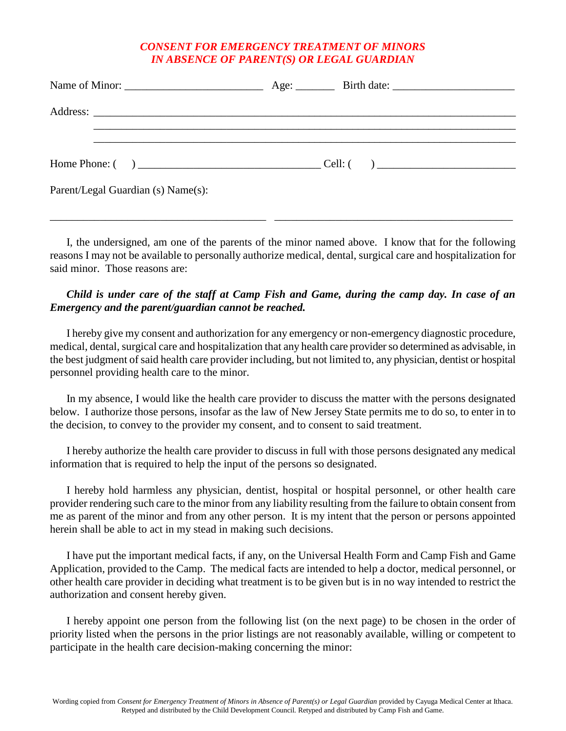## *CONSENT FOR EMERGENCY TREATMENT OF MINORS IN ABSENCE OF PARENT(S) OR LEGAL GUARDIAN*

| Home Phone: $\begin{pmatrix} 1 & 1 \\ 0 & 1 \end{pmatrix}$ |  |
|------------------------------------------------------------|--|
| Parent/Legal Guardian (s) Name(s):                         |  |

I, the undersigned, am one of the parents of the minor named above. I know that for the following reasons I may not be available to personally authorize medical, dental, surgical care and hospitalization for said minor. Those reasons are:

\_\_\_\_\_\_\_\_\_\_\_\_\_\_\_\_\_\_\_\_\_\_\_\_\_\_\_\_\_\_\_\_\_\_\_\_\_\_\_ \_\_\_\_\_\_\_\_\_\_\_\_\_\_\_\_\_\_\_\_\_\_\_\_\_\_\_\_\_\_\_\_\_\_\_\_\_\_\_\_\_\_\_

## *Child is under care of the staff at Camp Fish and Game, during the camp day. In case of an Emergency and the parent/guardian cannot be reached.*

I hereby give my consent and authorization for any emergency or non-emergency diagnostic procedure, medical, dental, surgical care and hospitalization that any health care provider so determined as advisable, in the best judgment of said health care provider including, but not limited to, any physician, dentist or hospital personnel providing health care to the minor.

In my absence, I would like the health care provider to discuss the matter with the persons designated below. I authorize those persons, insofar as the law of New Jersey State permits me to do so, to enter in to the decision, to convey to the provider my consent, and to consent to said treatment.

I hereby authorize the health care provider to discuss in full with those persons designated any medical information that is required to help the input of the persons so designated.

I hereby hold harmless any physician, dentist, hospital or hospital personnel, or other health care provider rendering such care to the minor from any liability resulting from the failure to obtain consent from me as parent of the minor and from any other person. It is my intent that the person or persons appointed herein shall be able to act in my stead in making such decisions.

I have put the important medical facts, if any, on the Universal Health Form and Camp Fish and Game Application, provided to the Camp. The medical facts are intended to help a doctor, medical personnel, or other health care provider in deciding what treatment is to be given but is in no way intended to restrict the authorization and consent hereby given.

I hereby appoint one person from the following list (on the next page) to be chosen in the order of priority listed when the persons in the prior listings are not reasonably available, willing or competent to participate in the health care decision-making concerning the minor: